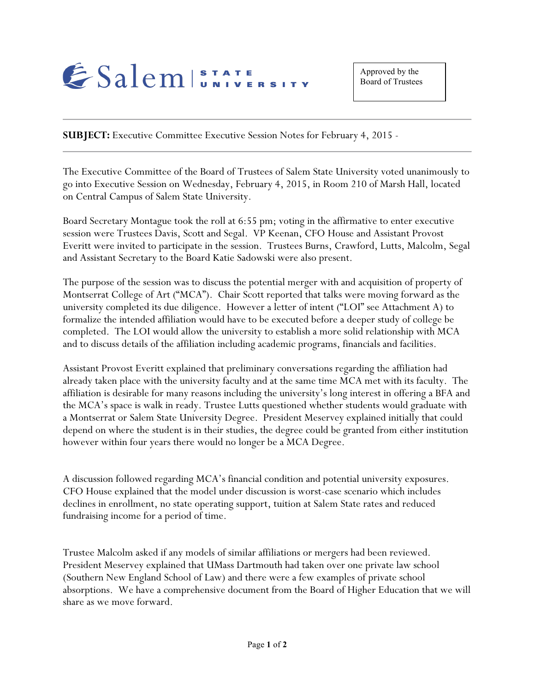

**SUBJECT:** Executive Committee Executive Session Notes for February 4, 2015 -

The Executive Committee of the Board of Trustees of Salem State University voted unanimously to go into Executive Session on Wednesday, February 4, 2015, in Room 210 of Marsh Hall, located on Central Campus of Salem State University.

Board Secretary Montague took the roll at 6:55 pm; voting in the affirmative to enter executive session were Trustees Davis, Scott and Segal. VP Keenan, CFO House and Assistant Provost Everitt were invited to participate in the session. Trustees Burns, Crawford, Lutts, Malcolm, Segal and Assistant Secretary to the Board Katie Sadowski were also present.

The purpose of the session was to discuss the potential merger with and acquisition of property of Montserrat College of Art ("MCA"). Chair Scott reported that talks were moving forward as the university completed its due diligence. However a letter of intent ("LOI" see Attachment A) to formalize the intended affiliation would have to be executed before a deeper study of college be completed. The LOI would allow the university to establish a more solid relationship with MCA and to discuss details of the affiliation including academic programs, financials and facilities.

Assistant Provost Everitt explained that preliminary conversations regarding the affiliation had already taken place with the university faculty and at the same time MCA met with its faculty. The affiliation is desirable for many reasons including the university's long interest in offering a BFA and the MCA's space is walk in ready. Trustee Lutts questioned whether students would graduate with a Montserrat or Salem State University Degree. President Meservey explained initially that could depend on where the student is in their studies, the degree could be granted from either institution however within four years there would no longer be a MCA Degree.

A discussion followed regarding MCA's financial condition and potential university exposures. CFO House explained that the model under discussion is worst-case scenario which includes declines in enrollment, no state operating support, tuition at Salem State rates and reduced fundraising income for a period of time.

Trustee Malcolm asked if any models of similar affiliations or mergers had been reviewed. President Meservey explained that UMass Dartmouth had taken over one private law school (Southern New England School of Law) and there were a few examples of private school absorptions. We have a comprehensive document from the Board of Higher Education that we will share as we move forward.